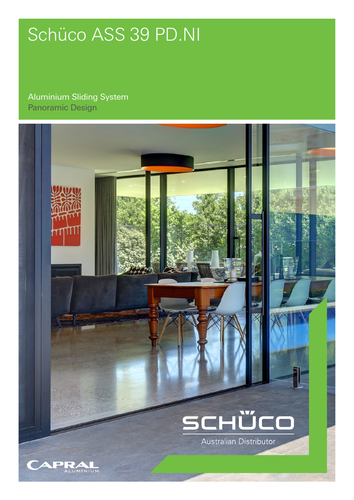# Schüco ASS 39 PD.NI

## Aluminium Sliding System Panoramic Design